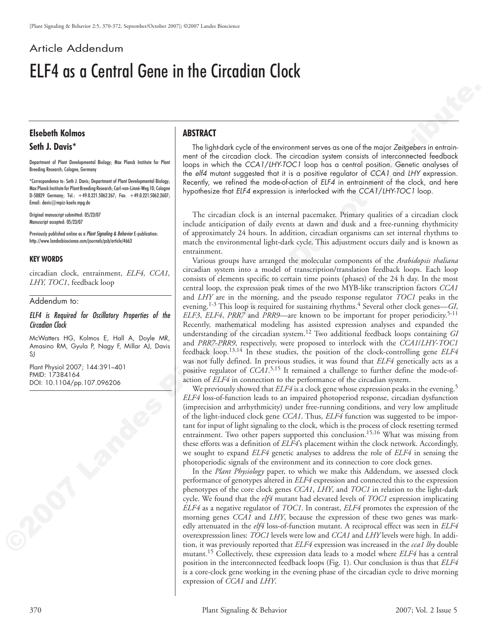# Article Addendum ELF4 as a Central Gene in the Circadian Clock

## **Elsebeth Kolmos**

## **Seth J. Davis\***

Department of Plant Developmental Biology; Max Planck Institute for Plant Breeding Research; Cologne, Germany

\*Correspondence to: Seth J. Davis; Department of Plant Developmental Biology; Max Planck Institute for Plant Breeding Research; Carl-von-Linné-Weg 10; Cologne D-50829 Germany; Tel.: +49.0.221.5062.267; Fax: +49.0.221.5062.2607; Email: davis@mpiz-koeln.mpg.de

Original manuscript submitted: 05/23/07 Manuscript accepted: 05/23/07

Previously published online as a *Plant Signaling & Behavior* E-publication: http://www.landesbioscience.com/journals/psb/article/4663

### **Key words**

circadian clock, entrainment, *ELF4, CCA1, LHY, TOC1*, feedback loop

#### Addendum to:

*ELF4 is Required for Oscillatory Properties of the Circadian Clock* 

McWatters HG, Kolmos E, Hall A, Doyle MR, Amasino RM, Gyula P, Nagy F, Millar AJ, Davis SJ

Plant Physiol 2007; 144:391–401 PMID: 17384164 DOI: 10.1104/pp.107.096206

## **Abstract**

The light-dark cycle of the environment serves as one of the major *Zeitgebers* in entrainment of the circadian clock. The circadian system consists of interconnected feedback loops in which the *CCA1*/*LHY*‑*TOC1* loop has a central position. Genetic analyses of the *elf4* mutant suggested that it is a positive regulator of *CCA1* and *LHY* expression. Recently, we refined the mode-of-action of *ELF4* in entrainment of the clock, and here hypothesize that *ELF4* expression is interlocked with the *CCA1*/*LHY*‑*TOC1* loop.

The circadian clock is an internal pacemaker. Primary qualities of a circadian clock include anticipation of daily events at dawn and dusk and a free-running rhythmicity of approximately 24 hours. In addition, circadian organisms can set internal rhythms to match the environmental light-dark cycle. This adjustment occurs daily and is known as entrainment.

**Elabeth Kolmos**<br> **ASTRACT**<br>
SURLEY SURLEY CONTINUES TO A REVENUES OF THE CONTINUES TO CONTINUES TO CONTINUES TO CONTINUES TO CONTINUES TO CONTINUES TO CONTINUES TO CONTINUES TO CONTINUES TO CONTINUES TO CONTINUES TO CONT Various groups have arranged the molecular components of the *Arabidopsis thaliana* circadian system into a model of transcription/translation feedback loops. Each loop consists of elements specific to certain time points (phases) of the 24 h day. In the most central loop, the expression peak times of the two MYB-like transcription factors *CCA1* and *LHY* are in the morning, and the pseudo response regulator *TOC1* peaks in the evening.<sup>1-3</sup> This loop is required for sustaining rhythms.<sup>4</sup> Several other clock genes—*GI*, *ELF3*, *ELF4*, *PRR7* and *PRR9*—are known to be important for proper periodicity.5-11 Recently, mathematical modeling has assisted expression analyses and expanded the understanding of the circadian system.12 Two additional feedback loops containing *GI* and *PRR7*-*PRR9*, respectively, were proposed to interlock with the *CCA1*/*LHY*-*TOC1* feedback loop.13,14 In these studies, the position of the clock-controlling gene *ELF4* was not fully defined. In previous studies, it was found that *ELF4* genetically acts as a positive regulator of *CCA1*. 5,15 It remained a challenge to further define the mode-ofaction of *ELF4* in connection to the performance of the circadian system.

We previously showed that *ELF4* is a clock gene whose expression peaks in the evening.<sup>5</sup> *ELF4* loss-of-function leads to an impaired photoperiod response, circadian dysfunction (imprecision and arrhythmicity) under free-running conditions, and very low amplitude of the light-induced clock gene *CCA1*. Thus, *ELF4* function was suggested to be important for input of light signaling to the clock, which is the process of clock resetting termed entrainment. Two other papers supported this conclusion.15,16 What was missing from these efforts was a definition of *ELF4*'s placement within the clock network. Accordingly, we sought to expand *ELF4* genetic analyses to address the role of *ELF4* in sensing the photoperiodic signals of the environment and its connection to core clock genes.

In the *Plant Physiology* paper, to which we make this Addendum, we assessed clock performance of genotypes altered in *ELF4* expression and connected this to the expression phenotypes of the core clock genes *CCA1*, *LHY*, and *TOC1* in relation to the light-dark cycle. We found that the *elf4* mutant had elevated levels of *TOC1* expression implicating *ELF4* as a negative regulator of *TOC1*. In contrast, *ELF4* promotes the expression of the morning genes *CCA1* and *LHY*, because the expression of these two genes was markedly attenuated in the *elf4* loss-of-function mutant. A reciprocal effect was seen in *ELF4* overexpresssion lines: *TOC1* levels were low and *CCA1* and *LHY* levels were high. In addition, it was previously reported that *ELF4* expression was increased in the *cca1 lhy* double mutant.15 Collectively, these expression data leads to a model where *ELF4* has a central position in the interconnected feedback loops (Fig. 1). Our conclusion is thus that *ELF4* is a core-clock gene working in the evening phase of the circadian cycle to drive morning expression of *CCA1* and *LHY*.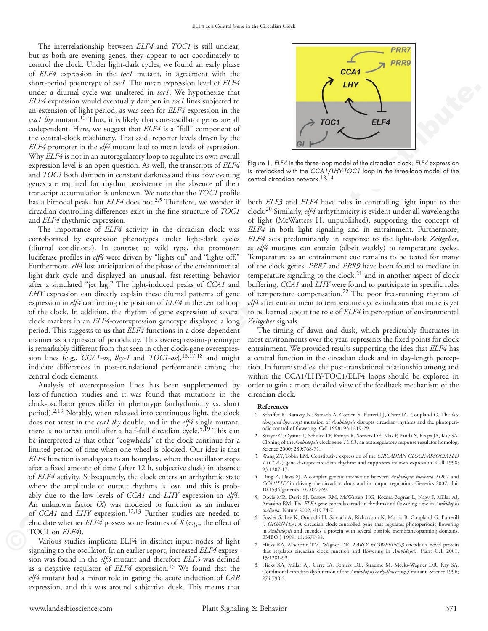The interrelationship between *ELF4* and *TOC1* is still unclear, but as both are evening genes, they appear to act coordinately to control the clock. Under light-dark cycles, we found an early phase of *ELF4* expression in the *toc1* mutant, in agreement with the short-period phenotype of *toc1*. The mean expression level of *ELF4* under a diurnal cycle was unaltered in *toc1*. We hypothesize that *ELF4* expression would eventually dampen in *toc1* lines subjected to an extension of light period, as was seen for *ELF4* expression in the *cca1 lhy* mutant.15 Thus, it is likely that core-oscillator genes are all codependent. Here, we suggest that *ELF4* is a "full" component of the central-clock machinery. That said, reporter levels driven by the *ELF4* promoter in the *elf4* mutant lead to mean levels of expression. Why *ELF4* is not in an autoregulatory loop to regulate its own overall expression level is an open question. As well, the transcripts of *ELF4* and *TOC1* both dampen in constant darkness and thus how evening genes are required for rhythm persistence in the absence of their transcript accumulation is unknown. We note that the *TOC1* profile has a bimodal peak, but *ELF4* does not.<sup>2,5</sup> Therefore, we wonder if circadian-controlling differences exist in the fine structure of *TOC1* and *ELF4* rhythmic expression.

The importance of *ELF4* activity in the circadian clock was corroborated by expression phenotypes under light-dark cycles (diurnal conditions). In contrast to wild type, the promoter: luciferase profiles in *elf4* were driven by "lights on" and "lights off." Furthermore, *elf4* lost anticipation of the phase of the environmental light-dark cycle and displayed an unusual, fast-resetting behavior after a simulated "jet lag." The light-induced peaks of *CCA1* and *LHY* expression can directly explain these diurnal patterns of gene expression in *elf4* confirming the position of *ELF4* in the central loop of the clock. In addition, the rhythm of gene expression of several clock markers in an *ELF4*-overexpression genotype displayed a long period. This suggests to us that *ELF4* functions in a dose-dependent manner as a repressor of periodicity. This overexpression-phenotype is remarkably different from that seen in other clock-gene overexpression lines (e.g., *CCA1‑ox*, *lhy‑1* and *TOC1‑ox*),13,17,18 and might indicate differences in post-translational performance among the central clock elements.

under A dimit of the symmetric in an<br>'10 start and the symmetric in a symmetric dimension of the symmetric interest of<br>the symmetric interest in a symmetric interest of the symmetric interest interest interest<br>interest in Analysis of overexpression lines has been supplemented by loss-of-function studies and it was found that mutations in the clock-oscillator genes differ in phenotype (arrhythmicity vs. short period). $2,19$  Notably, when released into continuous light, the clock does not arrest in the *cca1 lhy* double, and in the *elf4* single mutant, there is no arrest until after a half-full circadian cycle.<sup>5,19</sup> This can be interpreted as that other "cogwheels" of the clock continue for a limited period of time when one wheel is blocked. Our idea is that *ELF4* function is analogous to an hourglass, where the oscillator stops after a fixed amount of time (after 12 h, subjective dusk) in absence of *ELF4* activity. Subsequently, the clock enters an arrhythmic state where the amplitude of output rhythms is lost, and this is probably due to the low levels of *CCA1* and *LHY* expression in *elf4*. An unknown factor (*X*) was modeled to function as an inducer of *CCA1* and *LHY* expression.<sup>12,13</sup> Further studies are needed to elucidate whether *ELF4* possess some features of *X* (e.g., the effect of TOC1 on *ELF4*).

Various studies implicate ELF4 in distinct input nodes of light signaling to the oscillator. In an earlier report, increased *ELF4* expression was found in the *elf3* mutant and therefore *ELF3* was defined as a negative regulator of *ELF4* expression.15 We found that the *elf4* mutant had a minor role in gating the acute induction of *CAB* expression, and this was around subjective dusk. This means that



Figure 1. *ELF4* in the three‑loop model of the circadian clock. *ELF4* expression is interlocked with the *CCA1*/*LHY*‑*TOC1* loop in the three‑loop model of the central circadian network.13,14

both *ELF3* and *ELF4* have roles in controlling light input to the clock.20 Similarly, *elf4* arrhythmicity is evident under all wavelengths of light (McWatters H, unpublished), supporting the concept of *ELF4* in both light signaling and in entrainment. Furthermore, *ELF4* acts predominantly in response to the light-dark *Zeitgeber*, as *elf4* mutants can entrain (albeit weakly) to temperature cycles. Temperature as an entrainment cue remains to be tested for many of the clock genes. *PRR7* and *PRR9* have been found to mediate in temperature signaling to the clock, $21$  and in another aspect of clock buffering, *CCA1* and *LHY* were found to participate in specific roles of temperature compensation.22 The poor free-running rhythm of *elf4* after entrainment to temperature cycles indicates that more is yet to be learned about the role of *ELF4* in perception of environmental *Zeitgeber* signals.

The timing of dawn and dusk, which predictably fluctuates in most environments over the year, represents the fixed points for clock entrainment. We provided results supporting the idea that *ELF4* has a central function in the circadian clock and in day-length perception. In future studies, the post-translational relationship among and within the CCA1/LHY-TOC1/ELF4 loops should be explored in order to gain a more detailed view of the feedback mechanism of the circadian clock.

#### **References**

- 1. Schaffer R, Ramsay N, Samach A, Corden S, Putterill J, Carre IA, Coupland G. The *late elongated hypocotyl* mutation of *Arabidopsis* disrupts circadian rhythms and the photoperiodic control of flowering. Cell 1998; 93:1219-29.
- 2. Strayer C, Oyama T, Schultz TF, Raman R, Somers DE, Mas P, Panda S, Kreps JA, Kay SA. Cloning of the *Arabidopsis* clock gene *TOC1*, an autoregulatory response regulator homolog. Science 2000; 289:768-71.
- 3. Wang ZY, Tobin EM. Constitutive expression of the *CIRCADIAN CLOCK ASSOCIATED 1* (*CCA1*) gene disrupts circadian rhythms and suppresses its own expression. Cell 1998; 93:1207-17.
- 4. Ding Z, Davis SJ. A complex genetic interaction between *Arabidopsis thaliana TOC1* and *CCA1*/*LHY* in driving the circadian clock and in output regulation. Genetics 2007, doi: 10.1534/genetics.107.072769.
- 5. Doyle MR, Davis SJ, Bastow RM, McWatters HG, Kozma-Bognar L, Nagy F, Millar AJ, Amasino RM. The *ELF4* gene controls circadian rhythms and flowering time in *Arabidopsis thaliana*. Nature 2002; 419:74-7.
- 6. Fowler S, Lee K, Onouchi H, Samach A, Richardson K, Morris B, Coupland G, Putterill J. *GIGANTEA*: A circadian clock-controlled gene that regulates photoperiodic flowering in *Arabidopsis* and encodes a protein with several possible membrane-spanning domains. EMBO J 1999; 18:4679-88.
- 7. Hicks KA, Albertson TM, Wagner DR. *EARLY FLOWERING3* encodes a novel protein that regulates circadian clock function and flowering in *Arabidopsis*. Plant Cell 2001; 13:1281-92.
- 8. Hicks KA, Millar AJ, Carre IA, Somers DE, Straume M, Meeks-Wagner DR, Kay SA. Conditional circadian dysfunction of the *Arabidopsis early‑flowering 3* mutant. Science 1996; 274:790-2.